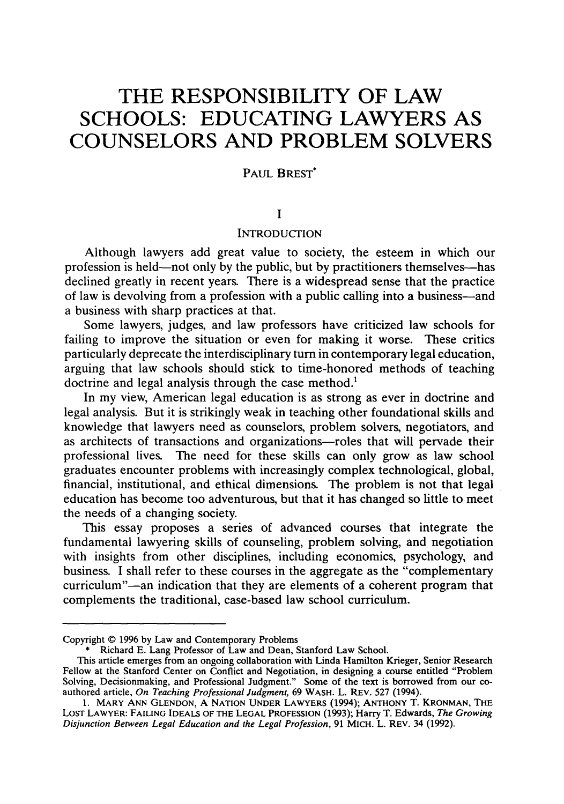# **THE RESPONSIBILITY OF LAW SCHOOLS: EDUCATING LAWYERS AS COUNSELORS AND PROBLEM SOLVERS**

# PAUL BREST<sup>\*</sup>

# **I**

# **INTRODUCTION**

Although lawyers add great value to society, the esteem in which our profession is held-not only by the public, but by practitioners themselves-has declined greatly in recent years. There is a widespread sense that the practice of law is devolving from a profession with a public calling into a business-and a business with sharp practices at that.

Some lawyers, judges, and law professors have criticized law schools for failing to improve the situation or even for making it worse. These critics particularly deprecate the interdisciplinary turn in contemporary legal education, arguing that law schools should stick to time-honored methods of teaching doctrine and legal analysis through the case method.'

In my view, American legal education is as strong as ever in doctrine and legal analysis. But it is strikingly weak in teaching other foundational skills and knowledge that lawyers need as counselors, problem solvers, negotiators, and as architects of transactions and organizations-roles that will pervade their professional lives. The need for these skills can only grow as law school graduates encounter problems with increasingly complex technological, global, financial, institutional, and ethical dimensions. The problem is not that legal education has become too adventurous, but that it has changed so little to meet the needs of a changing society.

This essay proposes a series of advanced courses that integrate the fundamental lawyering skills of counseling, problem solving, and negotiation with insights from other disciplines, including economics, psychology, and business. I shall refer to these courses in the aggregate as the "complementary curriculum"-an indication that they are elements of a coherent program that complements the traditional, case-based law school curriculum.

Copyright © 1996 by Law and Contemporary Problems

<sup>\*</sup> Richard E. Lang Professor of Law and Dean, Stanford Law School.

This article emerges from an ongoing collaboration with Linda Hamilton Krieger, Senior Research Fellow at the Stanford Center on Conflict and Negotiation, in designing a course entitled "Problem Solving, Decisionmaking, and Professional Judgment." Some of the text is borrowed from our coauthored article, *On Teaching Professional Judgment,* 69 WASH. L. REV. 527 (1994).

**<sup>1.</sup>** MARY **ANN GLENDON, A NATION UNDER** LAWYERS (1994); **ANTHONY** T. KRONMAN, **THE LOST** LAWYER: **FAILING** IDEALS OF THE **LEGAL PROFESSION (1993);** Harry T. Edwards, *The Growing Disjunction Between Legal Education and the Legal Profession,* 91 MICH. L. REV. 34 (1992).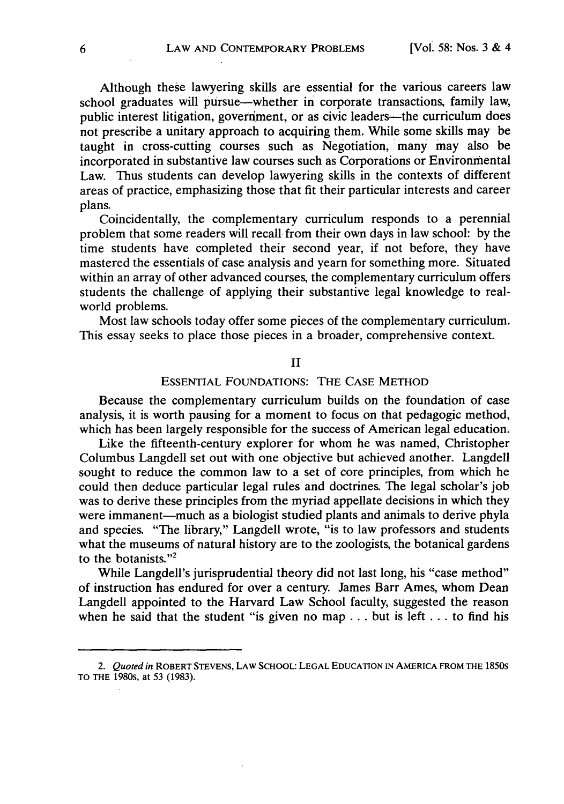Although these lawyering skills are essential for the various careers law school graduates will pursue—whether in corporate transactions, family law, public interest litigation, government, or as civic leaders-the curriculum does not prescribe a unitary approach to acquiring them. While some skills may be taught in cross-cutting courses such as Negotiation, many may also be incorporated in substantive law courses such as Corporations or Environmental Law. Thus students can develop lawyering skills in the contexts of different areas of practice, emphasizing those that fit their particular interests and career plans.

Coincidentally, the complementary curriculum responds to a perennial problem that some readers will recall from their own days in law school: by the time students have completed their second year, if not before, they have mastered the essentials of case analysis and yearn for something more. Situated within an array of other advanced courses, the complementary curriculum offers students the challenge of applying their substantive legal knowledge to realworld problems.

Most law schools today offer some pieces of the complementary curriculum. This essay seeks to place those pieces in a broader, comprehensive context.

#### II

#### ESSENTIAL FOUNDATIONS: THE CASE METHOD

Because the complementary curriculum builds on the foundation of case analysis, it is worth pausing for a moment to focus on that pedagogic method, which has been largely responsible for the success of American legal education.

Like the fifteenth-century explorer for whom he was named, Christopher Columbus Langdell set out with one objective but achieved another. Langdell sought to reduce the common law to a set of core principles, from which he could then deduce particular legal rules and doctrines. The legal scholar's job was to derive these principles from the myriad appellate decisions in which they were immanent-much as a biologist studied plants and animals to derive phyla and species. "The library," Langdell wrote, "is to law professors and students what the museums of natural history are to the zoologists, the botanical gardens to the botanists."<sup>2</sup>

While Langdell's jurisprudential theory did not last long, his "case method" of instruction has endured for over a century. James Barr Ames, whom Dean Langdell appointed to the Harvard Law School faculty, suggested the reason when he said that the student "is given no map **...** but is left **...** to find his

*<sup>2.</sup>* Quoted in ROBERT **STEVENS,** LAW **SCHOOL: LEGAL EDUCATION IN** AMERICA FROM THE 1850s TO THE **1980S,** at 53 **(1983).**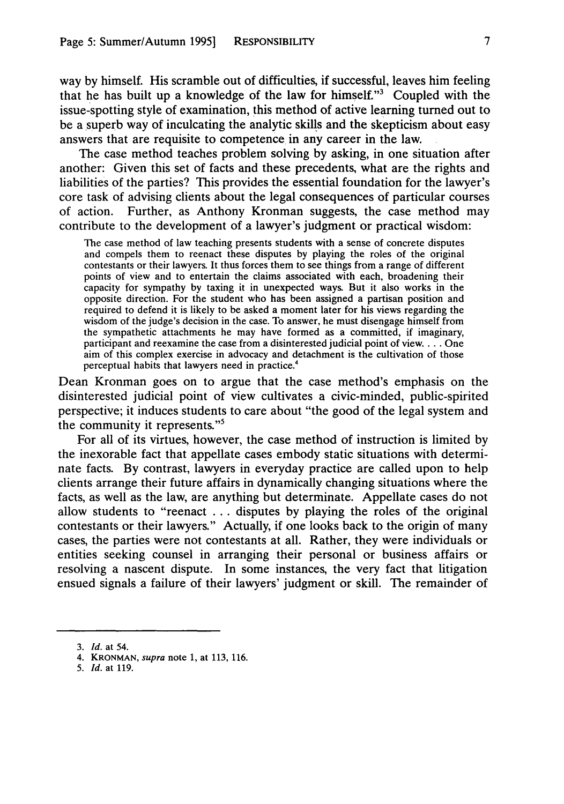way by himself. His scramble out of difficulties, if successful, leaves him feeling that he has built up a knowledge of the law for himself."3 Coupled with the issue-spotting style of examination, this method of active learning turned out to be a superb way of inculcating the analytic skills and the skepticism about easy answers that are requisite to competence in any career in the law.

The case method teaches problem solving by asking, in one situation after another: Given this set of facts and these precedents, what are the rights and liabilities of the parties? This provides the essential foundation for the lawyer's core task of advising clients about the legal consequences of particular courses of action. Further, as Anthony Kronman suggests, the case method may contribute to the development of a lawyer's judgment or practical wisdom:

The case method of law teaching presents students with a sense of concrete disputes and compels them to reenact these disputes by playing the roles of the original contestants or their lawyers. It thus forces them to see things from a range of different points of view and to entertain the claims associated with each, broadening their capacity for sympathy by taxing it in unexpected ways. But it also works in the opposite direction. For the student who has been assigned a partisan position and required to defend it is likely to be asked a moment later for his views regarding the wisdom of the judge's decision in the case. To answer, he must disengage himself from the sympathetic attachments he may have formed as a committed, if imaginary, participant and reexamine the case from a disinterested judicial point of view .... One aim of this complex exercise in advocacy and detachment is the cultivation of those perceptual habits that lawyers need in practice.4

Dean Kronman goes on to argue that the case method's emphasis on the disinterested judicial point of view cultivates a civic-minded, public-spirited perspective; it induces students to care about "the good of the legal system and the community it represents."<sup>5</sup>

For all of its virtues, however, the case method of instruction is limited by the inexorable fact that appellate cases embody static situations with determinate facts. By contrast, lawyers in everyday practice are called upon to help clients arrange their future affairs in dynamically changing situations where the facts, as well as the law, are anything but determinate. Appellate cases do not allow students to "reenact ... disputes by playing the roles of the original contestants or their lawyers." Actually, if one looks back to the origin of many cases, the parties were not contestants at all. Rather, they were individuals or entities seeking counsel in arranging their personal or business affairs or resolving a nascent dispute. In some instances, the very fact that litigation ensued signals a failure of their lawyers' judgment or skill. The remainder of

- 4. KRONMAN, supra note 1, at **113,** 116.
- *5. Id.* at 119.

<sup>3.</sup> *Id.* at 54.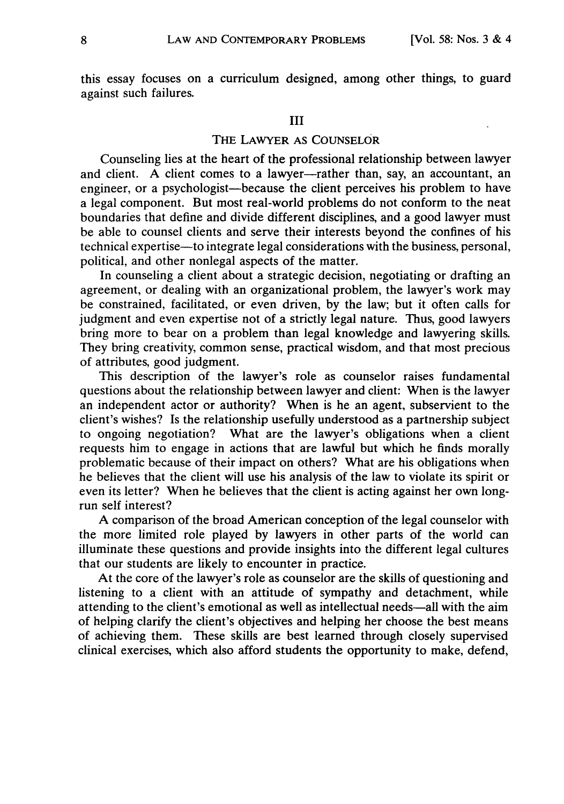this essay focuses on a curriculum designed, among other things, to guard against such failures.

# III

# THE LAWYER **AS COUNSELOR**

Counseling lies at the heart of the professional relationship between lawyer and client. A client comes to a lawyer--rather than, say, an accountant, an engineer, or a psychologist—because the client perceives his problem to have a legal component. But most real-world problems do not conform to the neat boundaries that define and divide different disciplines, and a good lawyer must be able to counsel clients and serve their interests beyond the confines of his technical expertise—to integrate legal considerations with the business, personal, political, and other nonlegal aspects of the matter.

In counseling a client about a strategic decision, negotiating or drafting an agreement, or dealing with an organizational problem, the lawyer's work may be constrained, facilitated, or even driven, by the law; but it often calls for judgment and even expertise not of a strictly legal nature. Thus, good lawyers bring more to bear on a problem than legal knowledge and lawyering skills. They bring creativity, common sense, practical wisdom, and that most precious of attributes, good judgment.

This description of the lawyer's role as counselor raises fundamental questions about the relationship between lawyer and client: When is the lawyer an independent actor or authority? When is he an agent, subservient to the client's wishes? Is the relationship usefully understood as a partnership subject to ongoing negotiation? What are the lawyer's obligations when a client requests him to engage in actions that are lawful but which he finds morally problematic because of their impact on others? What are his obligations when he believes that the client will use his analysis of the law to violate its spirit or even its letter? When he believes that the client is acting against her own longrun self interest?

**A** comparison of the broad American conception of the legal counselor with the more limited role played by lawyers in other parts of the world can illuminate these questions and provide insights into the different legal cultures that our students are likely to encounter in practice.

At the core of the lawyer's role as counselor are the skills of questioning and listening to a client with an attitude of sympathy and detachment, while attending to the client's emotional as well as intellectual needs-all with the aim of helping clarify the client's objectives and helping her choose the best means of achieving them. These skills are best learned through closely supervised clinical exercises, which also afford students the opportunity to make, defend,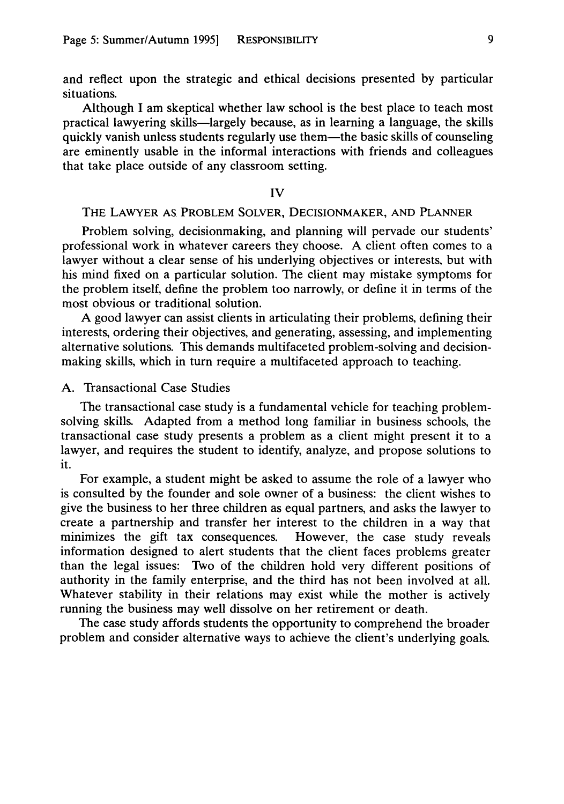and reflect upon the strategic and ethical decisions presented by particular situations.

Although I am skeptical whether law school is the best place to teach most practical lawyering skills-largely because, as in learning a language, the skills quickly vanish unless students regularly use them—the basic skills of counseling are eminently usable in the informal interactions with friends and colleagues that take place outside of any classroom setting.

#### IV

#### THE LAWYER **AS** PROBLEM SOLVER, DECISIONMAKER, **AND PLANNER**

Problem solving, decisionmaking, and planning will pervade our students' professional work in whatever careers they choose. A client often comes to a lawyer without a clear sense of his underlying objectives or interests, but with his mind fixed on a particular solution. The client may mistake symptoms for the problem itself, define the problem too narrowly, or define it in terms of the most obvious or traditional solution.

A good lawyer can assist clients in articulating their problems, defining their interests, ordering their objectives, and generating, assessing, and implementing alternative solutions. This demands multifaceted problem-solving and decisionmaking skills, which in turn require a multifaceted approach to teaching.

# A. Transactional Case Studies

The transactional case study is a fundamental vehicle for teaching problemsolving skills. Adapted from a method long familiar in business schools, the transactional case study presents a problem as a client might present it to a lawyer, and requires the student to identify, analyze, and propose solutions to it.

For example, a student might be asked to assume the role of a lawyer who is consulted by the founder and sole owner of a business: the client wishes to give the business to her three children as equal partners, and asks the lawyer to create a partnership and transfer her interest to the children in a way that minimizes the gift tax consequences. However, the case study reveals information designed to alert students that the client faces problems greater than the legal issues: Two of the children hold very different positions of authority in the family enterprise, and the third has not been involved at all. Whatever stability in their relations may exist while the mother is actively running the business may well dissolve on her retirement or death.

The case study affords students the opportunity to comprehend the broader problem and consider alternative ways to achieve the client's underlying goals.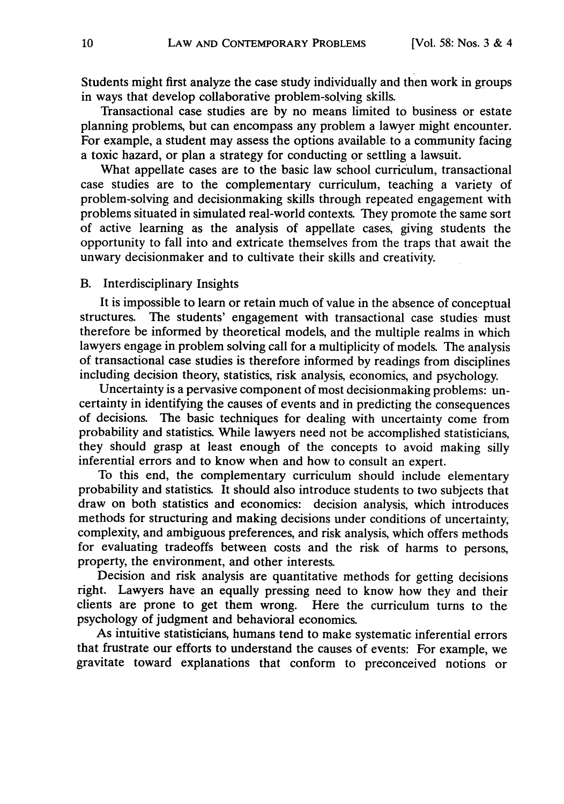Students might first analyze the case study individually and then work in groups in ways that develop collaborative problem-solying skills.

Transactional case studies are by no means limited to business or estate planning problems, but can encompass any problem a lawyer might encounter. For example, a student may assess the options available to a community facing a toxic hazard, or plan a strategy for conducting or settling a lawsuit.

What appellate cases are to the basic law school curriculum, transactional case studies are to the complementary curriculum, teaching a variety of problem-solving and decisionmaking skills through repeated engagement with problems situated in simulated real-world contexts. They promote the same sort of active learning as the analysis of appellate cases, giving students the opportunity to fall into and extricate themselves from the traps that await the unwary decisionmaker and to cultivate their skills and creativity.

#### B. Interdisciplinary Insights

It is impossible to learn or retain much of value in the absence of conceptual structures. The students' engagement with transactional case studies must therefore be informed by theoretical models, and the multiple realms in which lawyers engage in problem solving call for a multiplicity of models. The analysis of transactional case studies is therefore informed by readings from disciplines including decision theory, statistics, risk analysis, economics, and psychology.

Uncertainty is a pervasive component of most decisionmaking problems: uncertainty in identifying the causes of events and in predicting the consequences of decisions. The basic techniques for dealing with uncertainty come from probability and statistics. While lawyers need not be accomplished statisticians, they should grasp at least enough of the concepts to avoid making silly inferential errors and to know when and how to consult an expert.

To this end, the complementary curriculum should include elementary probability and statistics. It should also introduce students to two subjects that draw on both statistics and economics: decision analysis, which introduces methods for structuring and making decisions under conditions of uncertainty, complexity, and ambiguous preferences, and risk analysis, which offers methods for evaluating tradeoffs between costs and the risk of harms to persons, property, the environment, and other interests.

Decision and risk analysis are quantitative methods for getting decisions right. Lawyers have an equally pressing need to know how they and their clients are prone to get them wrong. Here the curriculum turns to the psychology of judgment and behavioral economics.

As intuitive statisticians, humans tend to make systematic inferential errors that frustrate our efforts to understand the causes of events: For example, we gravitate toward explanations that conform to preconceived notions or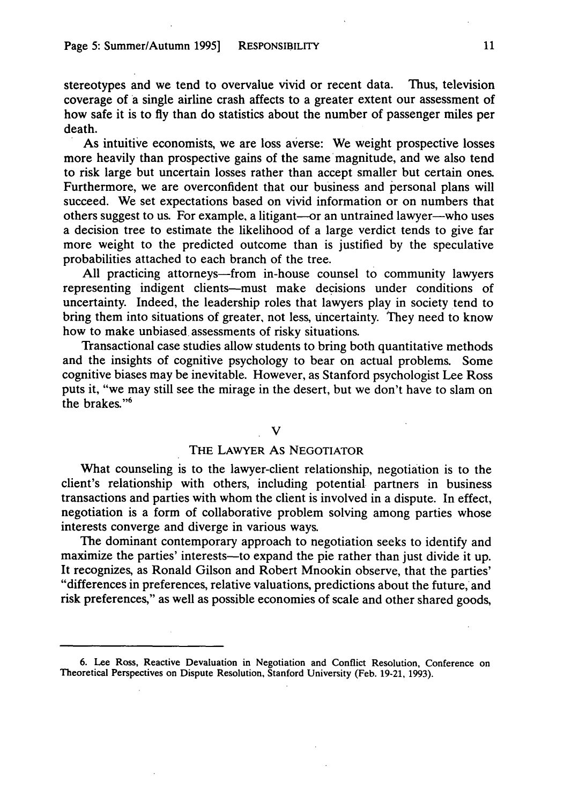stereotypes and we tend to overvalue vivid or recent data. Thus, television coverage of a single airline crash affects to a greater extent our assessment of how safe it is to fly than do statistics about the number of passenger miles per death.<br>As intuitive economists, we are loss averse: We weight prospective losses

more heavily than prospective gains of the same magnitude, and we also tend to risk large but uncertain losses rather than accept smaller but certain ones. Furthermore, we are overconfident that our business and personal plans will succeed. We set expectations based on vivid information or on numbers that others suggest to us. For example, a litigant-or an untrained lawyer--who uses a decision tree to estimate the likelihood of a large verdict tends to give far more weight to the predicted outcome than is justified by the speculative probabilities attached to each branch of the tree.

All practicing attorneys—from in-house counsel to community lawyers representing indigent clients-must make decisions under conditions of uncertainty. Indeed, the leadership roles that lawyers play in society tend to bring them into situations of greater, not less, uncertainty. They need to know how to make unbiased assessments of risky situations.

Transactional case studies allow students to bring both quantitative methods and the insights of cognitive psychology to bear on actual problems. Some cognitive biases may be inevitable. However, as Stanford psychologist Lee Ross puts it, "we may still see the mirage in the desert, but we don't have to slam on the brakes."6

#### V

#### THE LAWYER As NEGOTIATOR

What counseling is to the lawyer-client relationship, negotiation is to the client's relationship with others, including potential partners in business transactions and parties with whom the client is involved in a dispute. In effect, negotiation is a form of collaborative problem solving among parties whose interests converge and diverge in various ways.

The dominant contemporary approach to negotiation seeks to identify and maximize the parties' interests—to expand the pie rather than just divide it up. It recognizes, as Ronald Gilson and Robert Mnookin observe, that the parties' "differences in preferences, relative valuations, predictions about the future, and risk preferences," as well as possible economies of scale and other shared goods,

<sup>6.</sup> Lee Ross, Reactive Devaluation in Negotiation and Conflict Resolution, Conference on Theoretical Perspectives on Dispute Resolution, Stanford University (Feb. 19-21, 1993).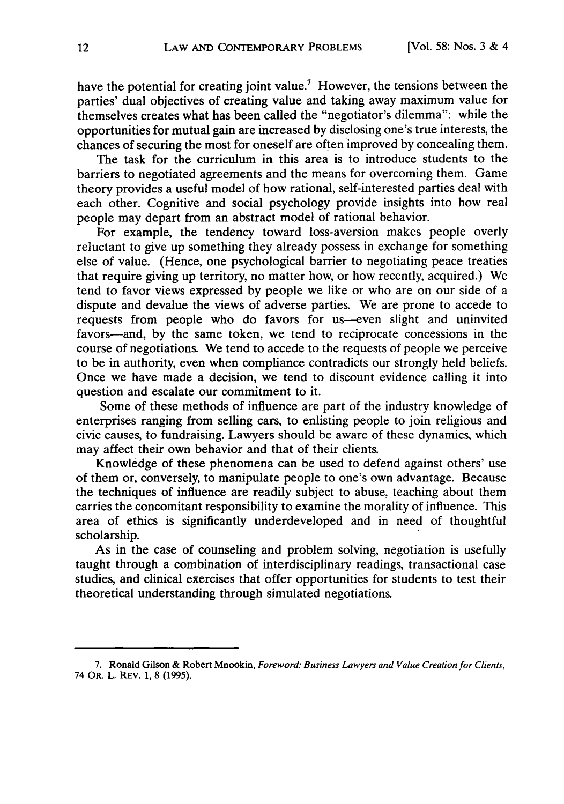have the potential for creating joint value.<sup>7</sup> However, the tensions between the parties' dual objectives of creating value and taking away maximum value for themselves creates what has been called the "negotiator's dilemma": while the opportunities for mutual gain are increased by disclosing one's true interests, the chances of securing the most for oneself are often improved by concealing them.

The task for the curriculum in this area is to introduce students to the barriers to negotiated agreements and the means for overcoming them. Game theory provides a useful model of how rational, self-interested parties deal with each other. Cognitive and social psychology provide insights into how real people may depart from an abstract model of rational behavior.

For example, the tendency toward loss-aversion makes people overly reluctant to give up something they already possess in exchange for something else of value. (Hence, one psychological barrier to negotiating peace treaties that require giving up territory, no matter how, or how recently, acquired.) We tend to favor views expressed by people we like or who are on our side of a dispute and devalue the views of adverse parties. We are prone to accede to requests from people who do favors for us-even slight and uninvited favors-and, by the same token, we tend to reciprocate concessions in the course of negotiations. We tend to accede to the requests of people we perceive to be in authority, even when compliance contradicts our strongly held beliefs. Once we have made a decision, we tend to discount evidence calling it into question and escalate our commitment to it.

Some of these methods of influence are part of the industry knowledge of enterprises ranging from selling cars, to enlisting people to join religious and civic causes, to fundraising. Lawyers should be aware of these dynamics, which may affect their own behavior and that of their clients.

Knowledge of these phenomena can be used to defend against others' use of them or, conversely, to manipulate people to one's own advantage. Because the techniques of influence are readily subject to abuse, teaching about them carries the concomitant responsibility to examine the morality of influence. This area of ethics is significantly underdeveloped and in need of thoughtful scholarship.

As in the case of counseling and problem solving, negotiation is usefully taught through a combination of interdisciplinary readings, transactional case studies, and clinical exercises that offer opportunities for students to test their theoretical understanding through simulated negotiations.

<sup>7.</sup> Ronald Gilson **&** Robert Mnookin, *Foreword: Business Lawyers and Value Creation for Clients,* 74 OR. L. REV. **1, 8 (1995).**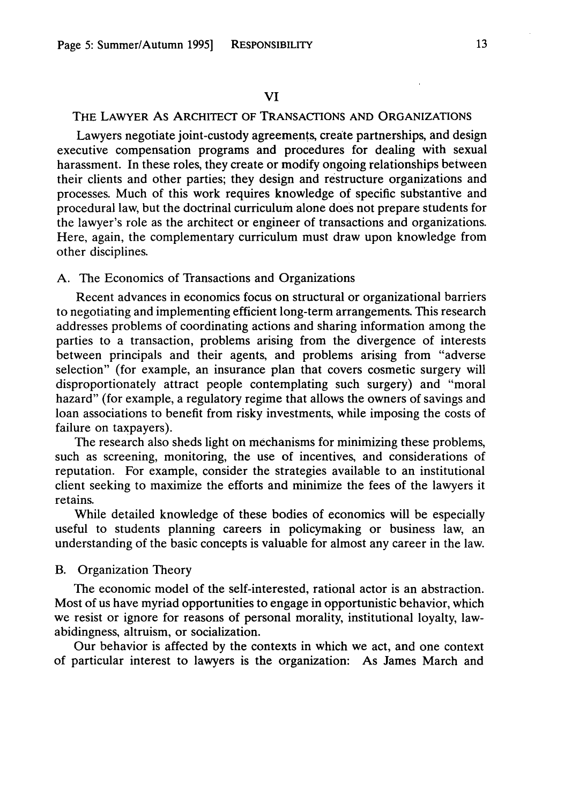# THE LAWYER As ARCHITECT OF TRANSACTIONS **AND** ORGANIZATIONS

Lawyers negotiate joint-custody agreements, create partnerships, and design executive compensation programs and procedures for dealing with sexual harassment. In these roles, they create or modify ongoing relationships between their clients and other parties; they design and restructure organizations and processes. Much of this work requires knowledge of specific substantive and procedural law, but the doctrinal curriculum alone does not prepare students for the lawyer's role as the architect or engineer of transactions and organizations. Here, again, the complementary curriculum must draw upon knowledge from other disciplines.

# A. The Economics of Transactions and Organizations

Recent advances in economics focus on structural or organizational barriers to negotiating and implementing efficient long-term arrangements. This research addresses problems of coordinating actions and sharing information among the parties to a transaction, problems arising from the divergence of interests between principals and their agents, and problems arising from "adverse selection" (for example, an insurance plan that covers cosmetic surgery will disproportionately attract people contemplating such surgery) and "moral hazard" (for example, a regulatory regime that allows the owners of savings and loan associations to benefit from risky investments, while imposing the costs of failure on taxpayers).

The research also sheds light on mechanisms for minimizing these problems, such as screening, monitoring, the use of incentives, and considerations of reputation. For example, consider the strategies available to an institutional client seeking to maximize the efforts and minimize the fees of the lawyers it retains.

While detailed knowledge of these bodies of economics will be especially useful to students planning careers in policymaking or business law, an understanding of the basic concepts is valuable for almost any career in the law.

#### B. Organization Theory

The economic model of the self-interested, rational actor is an abstraction. Most of us have myriad opportunities to engage in opportunistic behavior, which we resist or ignore for reasons of personal morality, institutional loyalty, lawabidingness, altruism, or socialization.

Our behavior is affected by the contexts in which we act, and one context of particular interest to lawyers is the organization: As James March and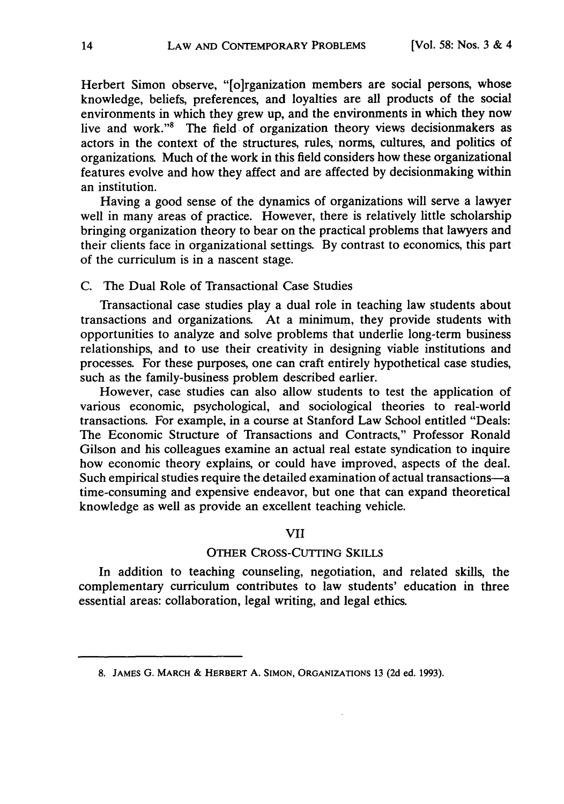Herbert Simon observe, "[o]rganization members are social persons, whose knowledge, beliefs, preferences, and loyalties are all products of the social environments in which they grew up, and the environments in which they now live and work."8 The field of organization theory views decisionmakers as actors in the context of the structures, rules, norms, cultures, and politics of organizations. Much of the work in this field considers how these organizational features evolve and how they affect and are affected by decisionmaking within an institution.

Having a good sense of the dynamics of organizations will serve a lawyer well in many areas of practice. However, there is relatively little scholarship bringing organization theory to bear on the practical problems that lawyers and their clients face in organizational settings. By contrast to economics, this part of the curriculum is in a nascent stage.

# C. The Dual Role of Transactional Case Studies

Transactional case studies play a dual role in teaching law students about transactions and organizations. At a minimum, they provide students with opportunities to analyze and solve problems that underlie long-term business relationships, and to use their creativity in designing viable institutions and processes. For these purposes, one can craft entirely hypothetical case studies, such as the family-business problem described earlier.

However, case studies can also allow students to test the application of various economic, psychological, and sociological theories to real-world transactions. For example, in a course at Stanford Law School entitled "Deals: The Economic Structure of Transactions and Contracts," Professor Ronald Gilson and his colleagues examine an actual real estate syndication to inquire how economic theory explains, or could have improved, aspects of the deal. Such empirical studies require the detailed examination of actual transactions-a time-consuming and expensive endeavor, but one that can expand theoretical knowledge as well as provide an excellent teaching vehicle.

# VII

# OTHER **CROSS-CUTTING** SKILLS

In addition to teaching counseling, negotiation, and related skills, the complementary curriculum contributes to law students' education in three essential areas: collaboration, legal writing, and legal ethics.

**<sup>8.</sup> JAMES G.** MARCH & HERBERT **A. SIMON, ORGANIZATIONS 13 (2d** ed. 1993).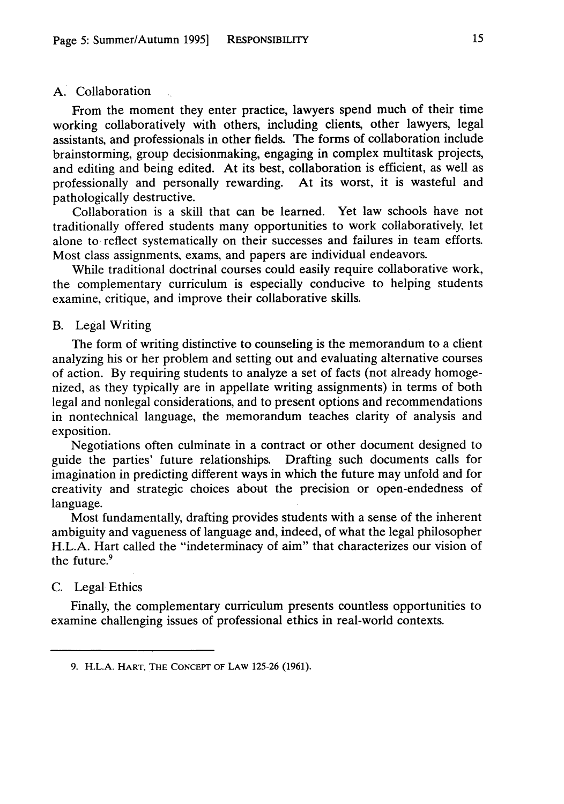#### A. Collaboration

From the moment they enter practice, lawyers spend much of their time working collaboratively with others, including clients, other lawyers, legal assistants, and professionals in other fields. The forms of collaboration include brainstorming, group decisionmaking, engaging in complex multitask projects, and editing and being edited. At its best, collaboration is efficient, as well as professionally and personally rewarding. At its worst, it is wasteful and pathologically destructive.

Collaboration is a skill that can be learned. Yet law schools have not traditionally offered students many opportunities to work collaboratively, let alone to reflect systematically on their successes and failures in team efforts. Most class assignments, exams, and papers are individual endeavors.

While traditional doctrinal courses could easily require collaborative work, the complementary curriculum is especially conducive to helping students examine, critique, and improve their collaborative skills.

#### B. Legal Writing

The form of writing distinctive to counseling is the memorandum to a client analyzing his or her problem and setting out and evaluating alternative courses of action. By requiring students to analyze a set of facts (not already homogenized, as they typically are in appellate writing assignments) in terms of both legal and nonlegal considerations, and to present options and recommendations in nontechnical language, the memorandum teaches clarity of analysis and exposition.

Negotiations often culminate in a contract or other document designed to guide the parties' future relationships. Drafting such documents calls for imagination in predicting different ways in which the future may unfold and for creativity and strategic choices about the precision or open-endedness of language.

Most fundamentally, drafting provides students with a sense of the inherent ambiguity and vagueness of language and, indeed, of what the legal philosopher H.L.A. Hart called the "indeterminacy of aim" that characterizes our vision of the future.<sup>9</sup>

# C. Legal Ethics

Finally, the complementary curriculum presents countless opportunities to examine challenging issues of professional ethics in real-world contexts.

**<sup>9.</sup>** H.L.A. HART, THE **CONCEPT** OF LAW 125-26 (1961).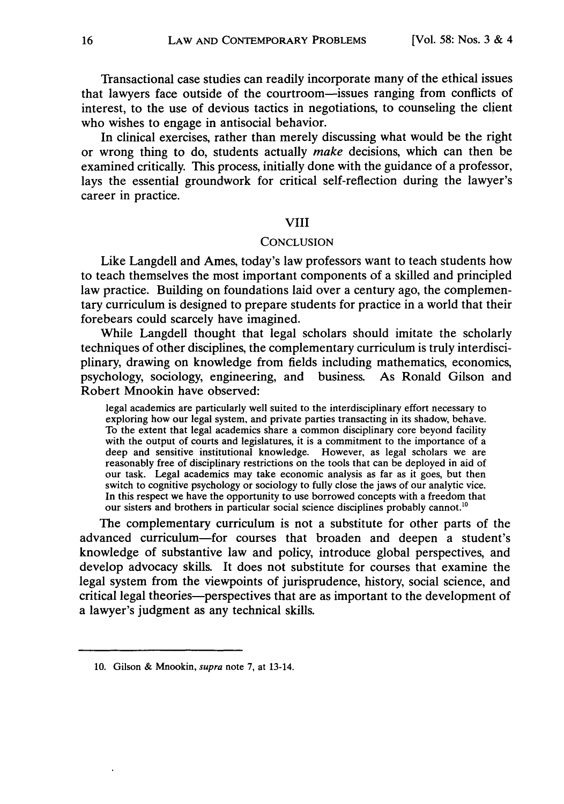Transactional case studies can readily incorporate many of the ethical issues that lawyers face outside of the courtroom-issues ranging from conflicts of interest, to the use of devious tactics in negotiations, to counseling the client who wishes to engage in antisocial behavior.

In clinical exercises, rather than merely discussing what would be the right or wrong thing to do, students actually make decisions, which can then be examined critically. This process, initially done with the guidance of a professor, lays the essential groundwork for critical self-reflection during the lawyer's career in practice.

# VIII

#### **CONCLUSION**

Like Langdell and Ames, today's law professors want to teach students how to teach themselves the most important components of a skilled and principled law practice. Building on foundations laid over a century ago, the complementary curriculum is designed to prepare students for practice in a world that their forebears could scarcely have imagined.

While Langdell thought that legal scholars should imitate the scholarly techniques of other disciplines, the complementary curriculum is truly interdisciplinary, drawing on knowledge from fields including mathematics, economics, psychology, sociology, engineering, and business. As Ronald Gilson and Robert Mnookin have observed:

legal academics are particularly well suited to the interdisciplinary effort necessary to exploring how our legal system, and private parties transacting in its shadow, behave. To the extent that legal academics share a common disciplinary core beyond facility with the output of courts and legislatures, it is a commitment to the importance of a deep and sensitive institutional knowledge. However, as legal scholars we are reasonably free of disciplinary restrictions on the tools that can be deployed in aid of our task. Legal academics may take economic analysis as far as it goes, but then switch to cognitive psychology or sociology to fully close the jaws of our analytic vice. In this respect we have the opportunity to use borrowed concepts with a freedom that our sisters and brothers in particular social science disciplines probably cannot.<sup>10</sup>

The complementary curriculum is not a substitute for other parts of the advanced curriculum-for courses that broaden and deepen a student's knowledge of substantive law and policy, introduce global perspectives, and develop advocacy skills. It does not substitute for courses that examine the legal system from the viewpoints of jurisprudence, history, social science, and critical legal theories-perspectives that are as important to the development of a lawyer's judgment as any technical skills.

**<sup>10.</sup>** Gilson & Mnookin, *supra* note 7, at 13-14.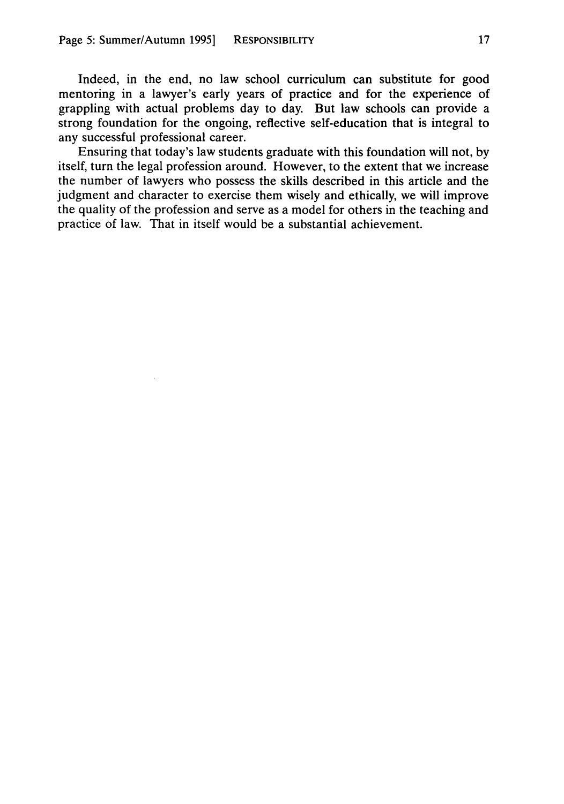Indeed, in the end, no law school curriculum can substitute for good mentoring in a lawyer's early years of practice and for the experience of grappling with actual problems day to day. But law schools can provide a strong foundation for the ongoing, reflective self-education that is integral to any successful professional career.

Ensuring that today's law students graduate with this foundation will not, **by** itself, turn the legal profession around. However, to the extent that we increase the number of lawyers who possess the skills described in this article and the judgment and character to exercise them wisely and ethically, we will improve the quality of the profession and serve as a model for others in the teaching and practice of law. That in itself would be a substantial achievement.